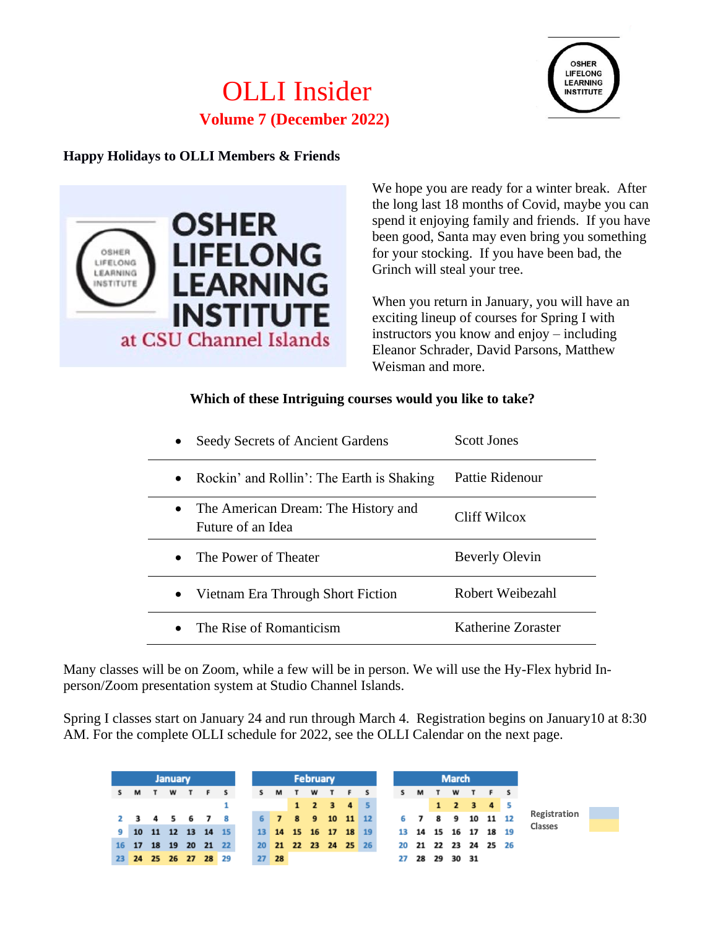# OLLI Insider **Volume 7 (December 2022)**



# **Happy Holidays to OLLI Members & Friends**



We hope you are ready for a winter break. After the long last 18 months of Covid, maybe you can spend it enjoying family and friends. If you have been good, Santa may even bring you something for your stocking. If you have been bad, the Grinch will steal your tree.

When you return in January, you will have an exciting lineup of courses for Spring I with instructors you know and enjoy – including Eleanor Schrader, David Parsons, Matthew Weisman and more.

#### **Which of these Intriguing courses would you like to take?**

| Seedy Secrets of Ancient Gardens                         | <b>Scott Jones</b>    |
|----------------------------------------------------------|-----------------------|
| Rockin' and Rollin': The Earth is Shaking<br>$\bullet$   | Pattie Ridenour       |
| The American Dream: The History and<br>Future of an Idea | Cliff Wilcox          |
| The Power of Theater                                     | <b>Beverly Olevin</b> |
| Vietnam Era Through Short Fiction<br>$\bullet$           | Robert Weibezahl      |
| The Rise of Romanticism                                  | Katherine Zoraster    |

Many classes will be on Zoom, while a few will be in person. We will use the Hy-Flex hybrid Inperson/Zoom presentation system at Studio Channel Islands.

Spring I classes start on January 24 and run through March 4. Registration begins on January10 at 8:30 AM. For the complete OLLI schedule for 2022, see the OLLI Calendar on the next page.

|                      |    | <b>January</b> |                |          |     | <b>February</b> |         |    |   |   |   | <b>March</b>         |    |   |                      |   |   |                |  |              |  |
|----------------------|----|----------------|----------------|----------|-----|-----------------|---------|----|---|---|---|----------------------|----|---|----------------------|---|---|----------------|--|--------------|--|
| S M                  | T. | w              | $\blacksquare$ | <b>F</b> | s s |                 | S M     | T. | w | T | F |                      | s. | M | $\mathbf{T}$         | w | T | F <sub>S</sub> |  |              |  |
|                      |    |                |                |          |     |                 |         |    |   |   |   | $1 \t2 \t3 \t4 \t5$  |    |   |                      |   |   | 1 2 3 4 5      |  |              |  |
| 2 3 4 5 6 7 8        |    |                |                |          |     |                 |         |    |   |   |   | 6 7 8 9 10 11 12     |    |   | 6 7 8 9 10 11 12     |   |   |                |  | Registration |  |
| 9 10 11 12 13 14 15  |    |                |                |          |     |                 |         |    |   |   |   | 13 14 15 16 17 18 19 |    |   | 13 14 15 16 17 18 19 |   |   |                |  | Classes      |  |
| 16 17                |    |                | 18 19 20 21 22 |          |     |                 |         |    |   |   |   | 20 21 22 23 24 25 26 |    |   | 20 21 22 23 24 25 26 |   |   |                |  |              |  |
| 23 24 25 26 27 28 29 |    |                |                |          |     |                 | $27$ 28 |    |   |   |   |                      |    |   | 27 28 29 30 31       |   |   |                |  |              |  |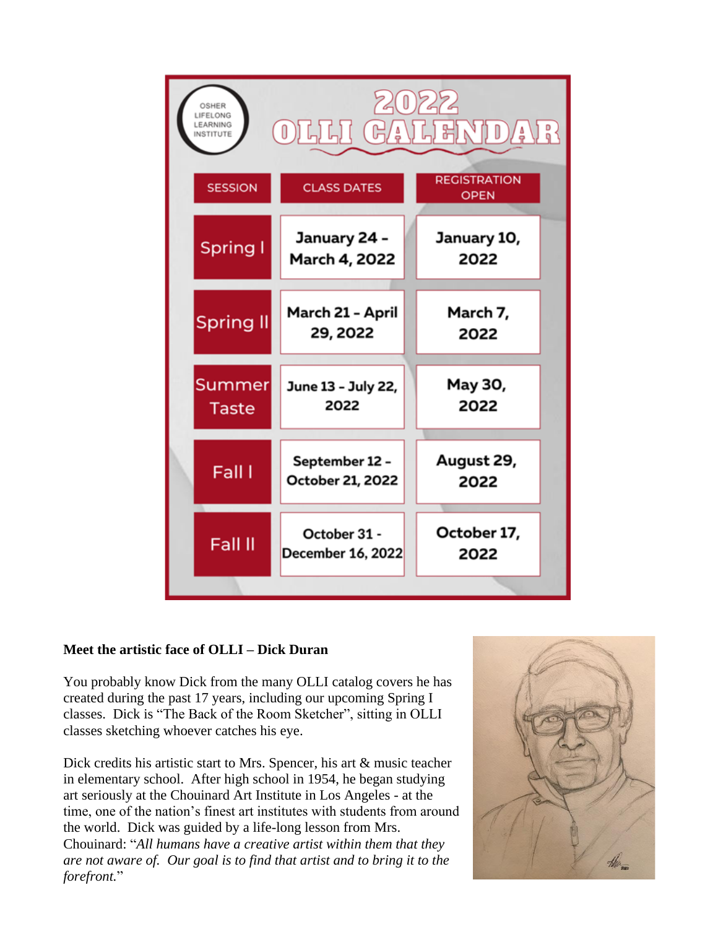| OSHER<br>LIFELONG<br>LEARNING<br>0<br>别以[]<br>Å<br>∫ ≜<br>NSTITUTE |                                          |                                    |  |  |  |  |  |  |  |
|--------------------------------------------------------------------|------------------------------------------|------------------------------------|--|--|--|--|--|--|--|
| <b>SESSION</b>                                                     | <b>CLASS DATES</b>                       | <b>REGISTRATION</b><br><b>OPEN</b> |  |  |  |  |  |  |  |
| Spring I                                                           | January 24 -<br>March 4, 2022            | January 10,<br>2022                |  |  |  |  |  |  |  |
| <b>Spring II</b>                                                   | March 21 - April<br>29, 2022             | March 7,<br>2022                   |  |  |  |  |  |  |  |
| Summer<br><b>Taste</b>                                             | June 13 - July 22,<br>2022               | May 30,<br>2022                    |  |  |  |  |  |  |  |
| Fall I                                                             | September 12 -<br>October 21, 2022       | August 29,<br>2022                 |  |  |  |  |  |  |  |
| Fall II                                                            | October 31 -<br><b>December 16, 2022</b> | October 17,<br>2022                |  |  |  |  |  |  |  |
|                                                                    |                                          |                                    |  |  |  |  |  |  |  |

## **Meet the artistic face of OLLI – Dick Duran**

You probably know Dick from the many OLLI catalog covers he has created during the past 17 years, including our upcoming Spring I classes. Dick is "The Back of the Room Sketcher", sitting in OLLI classes sketching whoever catches his eye.

Dick credits his artistic start to Mrs. Spencer, his art & music teacher in elementary school. After high school in 1954, he began studying art seriously at the Chouinard Art Institute in Los Angeles - at the time, one of the nation's finest art institutes with students from around the world. Dick was guided by a life-long lesson from Mrs. Chouinard: "*All humans have a creative artist within them that they are not aware of. Our goal is to find that artist and to bring it to the forefront.*"

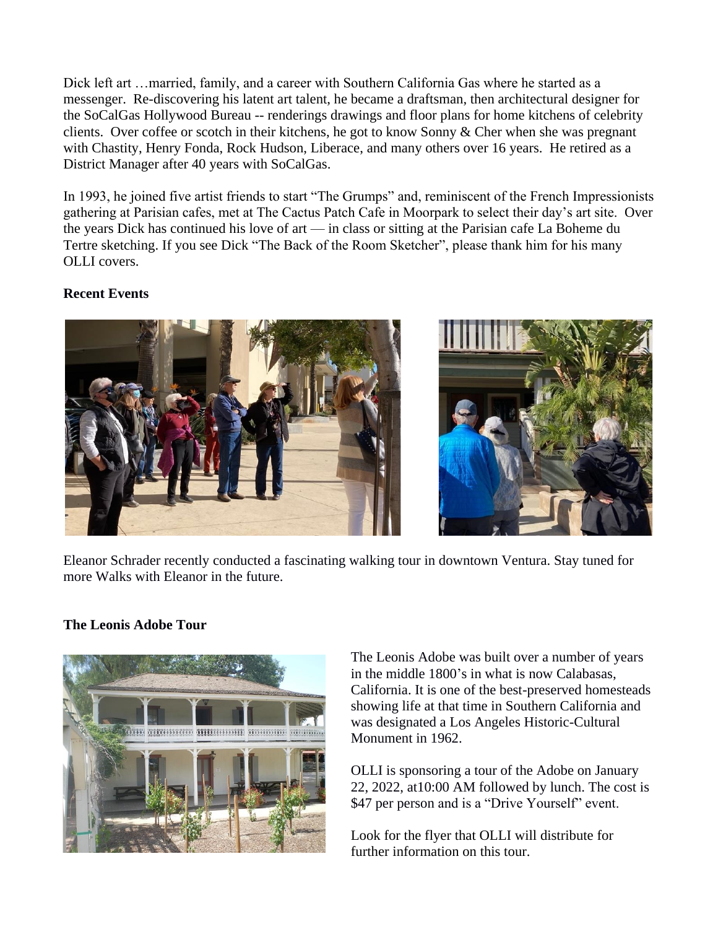Dick left art …married, family, and a career with Southern California Gas where he started as a messenger. Re-discovering his latent art talent, he became a draftsman, then architectural designer for the SoCalGas Hollywood Bureau -- renderings drawings and floor plans for home kitchens of celebrity clients. Over coffee or scotch in their kitchens, he got to know Sonny & Cher when she was pregnant with Chastity, Henry Fonda, Rock Hudson, Liberace, and many others over 16 years. He retired as a District Manager after 40 years with SoCalGas.

In 1993, he joined five artist friends to start "The Grumps" and, reminiscent of the French Impressionists gathering at Parisian cafes, met at The Cactus Patch Cafe in Moorpark to select their day's art site. Over the years Dick has continued his love of art — in class or sitting at the Parisian cafe La Boheme du Tertre sketching. If you see Dick "The Back of the Room Sketcher", please thank him for his many OLLI covers.

## **Recent Events**



Eleanor Schrader recently conducted a fascinating walking tour in downtown Ventura. Stay tuned for more Walks with Eleanor in the future.

## **The Leonis Adobe Tour**



The Leonis Adobe was built over a number of years in the middle 1800's in what is now Calabasas, California. It is one of the best-preserved homesteads showing life at that time in Southern California and was designated a Los Angeles Historic-Cultural Monument in 1962.

OLLI is sponsoring a tour of the Adobe on January 22, 2022, at10:00 AM followed by lunch. The cost is \$47 per person and is a "Drive Yourself" event.

Look for the flyer that OLLI will distribute for further information on this tour.